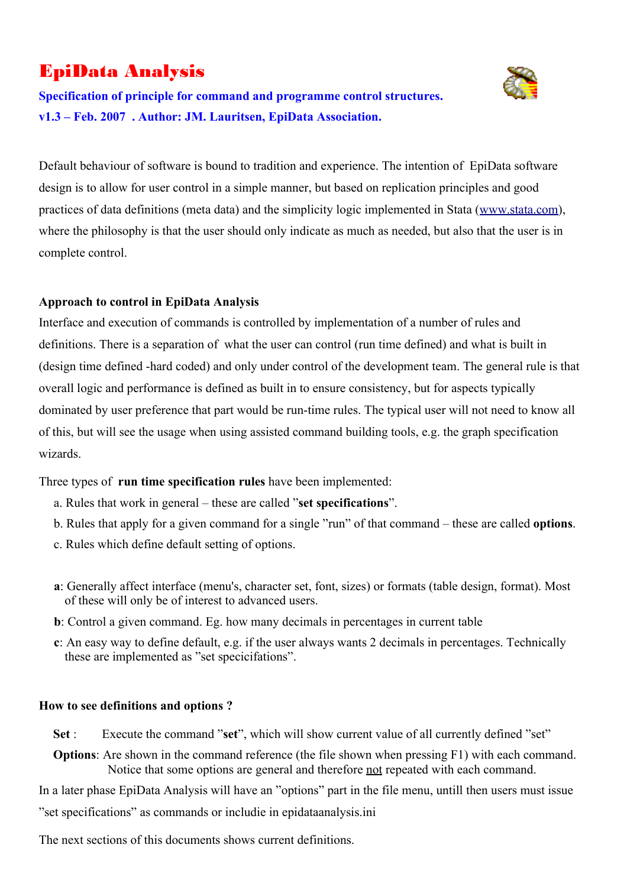# EpiData Analysis



**Specification of principle for command and programme control structures. v1.3 – Feb. 2007 . Author: JM. Lauritsen, EpiData Association.**

Default behaviour of software is bound to tradition and experience. The intention of EpiData software design is to allow for user control in a simple manner, but based on replication principles and good practices of data definitions (meta data) and the simplicity logic implemented in Stata ([www.stata.com\)](http://www.stata.com/), where the philosophy is that the user should only indicate as much as needed, but also that the user is in complete control.

### **Approach to control in EpiData Analysis**

Interface and execution of commands is controlled by implementation of a number of rules and definitions. There is a separation of what the user can control (run time defined) and what is built in (design time defined -hard coded) and only under control of the development team. The general rule is that overall logic and performance is defined as built in to ensure consistency, but for aspects typically dominated by user preference that part would be run-time rules. The typical user will not need to know all of this, but will see the usage when using assisted command building tools, e.g. the graph specification wizards.

Three types of **run time specification rules** have been implemented:

- a. Rules that work in general these are called "**set specifications**".
- b. Rules that apply for a given command for a single "run" of that command these are called **options**.
- c. Rules which define default setting of options.
- **a**: Generally affect interface (menu's, character set, font, sizes) or formats (table design, format). Most of these will only be of interest to advanced users.
- **b**: Control a given command. Eg. how many decimals in percentages in current table
- **c**: An easy way to define default, e.g. if the user always wants 2 decimals in percentages. Technically these are implemented as "set specicifations".

#### **How to see definitions and options ?**

- **Set** : Execute the command "**set**", which will show current value of all currently defined "set"
- **Options**: Are shown in the command reference (the file shown when pressing F1) with each command. Notice that some options are general and therefore not repeated with each command.

In a later phase EpiData Analysis will have an "options" part in the file menu, untill then users must issue

"set specifications" as commands or includie in epidataanalysis.ini

The next sections of this documents shows current definitions.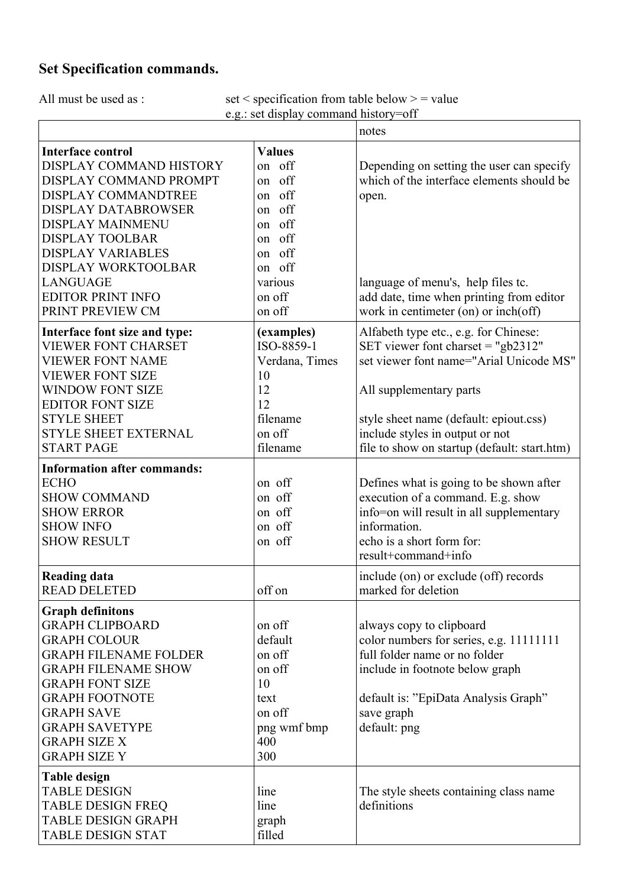### **Set Specification commands.**

All must be used as :  $\text{set} \leq \text{specification from table below} > \text{ = value}$ e.g.: set display command history=off

|                                                                                                                                                                                                                                                                                       |                                                                                            | notes                                                                                                                                                                                                         |  |
|---------------------------------------------------------------------------------------------------------------------------------------------------------------------------------------------------------------------------------------------------------------------------------------|--------------------------------------------------------------------------------------------|---------------------------------------------------------------------------------------------------------------------------------------------------------------------------------------------------------------|--|
| <b>Interface control</b><br>DISPLAY COMMAND HISTORY<br>DISPLAY COMMAND PROMPT<br>DISPLAY COMMANDTREE                                                                                                                                                                                  | <b>Values</b><br>on off<br>on off<br>on off                                                | Depending on setting the user can specify<br>which of the interface elements should be<br>open.                                                                                                               |  |
| <b>DISPLAY DATABROWSER</b><br>DISPLAY MAINMENU<br><b>DISPLAY TOOLBAR</b><br><b>DISPLAY VARIABLES</b>                                                                                                                                                                                  | on off<br>on off<br>on off<br>on off                                                       |                                                                                                                                                                                                               |  |
| DISPLAY WORKTOOLBAR<br><b>LANGUAGE</b><br><b>EDITOR PRINT INFO</b><br>PRINT PREVIEW CM                                                                                                                                                                                                | on off<br>various<br>on off<br>on off                                                      | language of menu's, help files tc.<br>add date, time when printing from editor<br>work in centimeter (on) or inch(off)                                                                                        |  |
| Interface font size and type:<br><b>VIEWER FONT CHARSET</b><br><b>VIEWER FONT NAME</b><br><b>VIEWER FONT SIZE</b>                                                                                                                                                                     | (examples)<br>ISO-8859-1<br>Verdana, Times<br>10                                           | Alfabeth type etc., e.g. for Chinese:<br>SET viewer font charget = "gb2312"<br>set viewer font name="Arial Unicode MS"                                                                                        |  |
| <b>WINDOW FONT SIZE</b><br><b>EDITOR FONT SIZE</b><br><b>STYLE SHEET</b><br><b>STYLE SHEET EXTERNAL</b>                                                                                                                                                                               | 12<br>12<br>filename<br>on off                                                             | All supplementary parts<br>style sheet name (default: epiout.css)<br>include styles in output or not                                                                                                          |  |
| <b>START PAGE</b><br><b>Information after commands:</b><br><b>ECHO</b>                                                                                                                                                                                                                | filename<br>on off                                                                         | file to show on startup (default: start.htm)<br>Defines what is going to be shown after                                                                                                                       |  |
| <b>SHOW COMMAND</b><br><b>SHOW ERROR</b><br><b>SHOW INFO</b><br><b>SHOW RESULT</b>                                                                                                                                                                                                    | on off<br>on off<br>on off<br>on off                                                       | execution of a command. E.g. show<br>info=on will result in all supplementary<br>information.<br>echo is a short form for:<br>result+command+info                                                             |  |
| <b>Reading data</b><br><b>READ DELETED</b>                                                                                                                                                                                                                                            | off on                                                                                     | include (on) or exclude (off) records<br>marked for deletion                                                                                                                                                  |  |
| <b>Graph definitons</b><br><b>GRAPH CLIPBOARD</b><br><b>GRAPH COLOUR</b><br><b>GRAPH FILENAME FOLDER</b><br><b>GRAPH FILENAME SHOW</b><br><b>GRAPH FONT SIZE</b><br><b>GRAPH FOOTNOTE</b><br><b>GRAPH SAVE</b><br><b>GRAPH SAVETYPE</b><br><b>GRAPH SIZE X</b><br><b>GRAPH SIZE Y</b> | on off<br>default<br>on off<br>on off<br>10<br>text<br>on off<br>png wmf bmp<br>400<br>300 | always copy to clipboard<br>color numbers for series, e.g. 11111111<br>full folder name or no folder<br>include in footnote below graph<br>default is: "EpiData Analysis Graph"<br>save graph<br>default: png |  |
| <b>Table design</b><br><b>TABLE DESIGN</b><br><b>TABLE DESIGN FREQ</b><br><b>TABLE DESIGN GRAPH</b><br><b>TABLE DESIGN STAT</b>                                                                                                                                                       | line<br>line<br>graph<br>filled                                                            | The style sheets containing class name<br>definitions                                                                                                                                                         |  |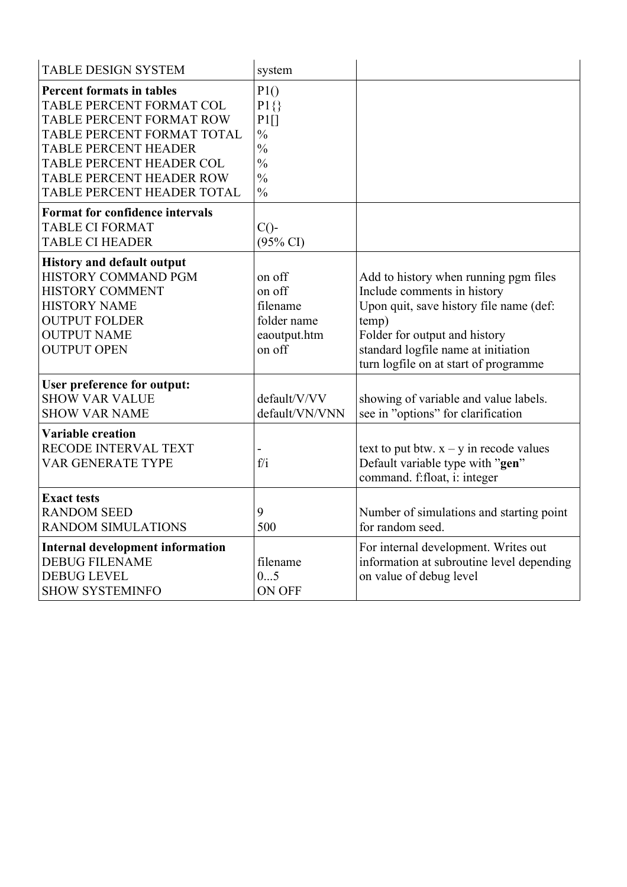| <b>TABLE DESIGN SYSTEM</b>                                                                                                                                                                                                                  | system                                                                                                           |                                                                                                                                                                                                                                           |
|---------------------------------------------------------------------------------------------------------------------------------------------------------------------------------------------------------------------------------------------|------------------------------------------------------------------------------------------------------------------|-------------------------------------------------------------------------------------------------------------------------------------------------------------------------------------------------------------------------------------------|
| <b>Percent formats in tables</b><br>TABLE PERCENT FORMAT COL<br>TABLE PERCENT FORMAT ROW<br>TABLE PERCENT FORMAT TOTAL<br><b>TABLE PERCENT HEADER</b><br>TABLE PERCENT HEADER COL<br>TABLE PERCENT HEADER ROW<br>TABLE PERCENT HEADER TOTAL | P1()<br>$P1\{\}$<br>$P1$ []<br>$\frac{0}{0}$<br>$\frac{0}{0}$<br>$\frac{0}{0}$<br>$\frac{0}{0}$<br>$\frac{0}{0}$ |                                                                                                                                                                                                                                           |
| <b>Format for confidence intervals</b><br><b>TABLE CI FORMAT</b><br><b>TABLE CI HEADER</b>                                                                                                                                                  | $C()$ -<br>$(95\% \text{ CI})$                                                                                   |                                                                                                                                                                                                                                           |
| <b>History and default output</b><br>HISTORY COMMAND PGM<br><b>HISTORY COMMENT</b><br><b>HISTORY NAME</b><br><b>OUTPUT FOLDER</b><br><b>OUTPUT NAME</b><br><b>OUTPUT OPEN</b>                                                               | on off<br>on off<br>filename<br>folder name<br>eaoutput.htm<br>on off                                            | Add to history when running pgm files<br>Include comments in history<br>Upon quit, save history file name (def:<br>temp)<br>Folder for output and history<br>standard logfile name at initiation<br>turn logfile on at start of programme |
| User preference for output:<br><b>SHOW VAR VALUE</b><br><b>SHOW VAR NAME</b>                                                                                                                                                                | default/V/VV<br>default/VN/VNN                                                                                   | showing of variable and value labels.<br>see in "options" for clarification                                                                                                                                                               |
| <b>Variable creation</b><br>RECODE INTERVAL TEXT<br><b>VAR GENERATE TYPE</b>                                                                                                                                                                | f/i                                                                                                              | text to put btw. $x - y$ in recode values<br>Default variable type with "gen"<br>command. f:float, i: integer                                                                                                                             |
| <b>Exact tests</b><br><b>RANDOM SEED</b><br><b>RANDOM SIMULATIONS</b>                                                                                                                                                                       | 9<br>500                                                                                                         | Number of simulations and starting point<br>for random seed.                                                                                                                                                                              |
| <b>Internal development information</b><br><b>DEBUG FILENAME</b><br><b>DEBUG LEVEL</b><br><b>SHOW SYSTEMINFO</b>                                                                                                                            | filename<br>05<br><b>ON OFF</b>                                                                                  | For internal development. Writes out<br>information at subroutine level depending<br>on value of debug level                                                                                                                              |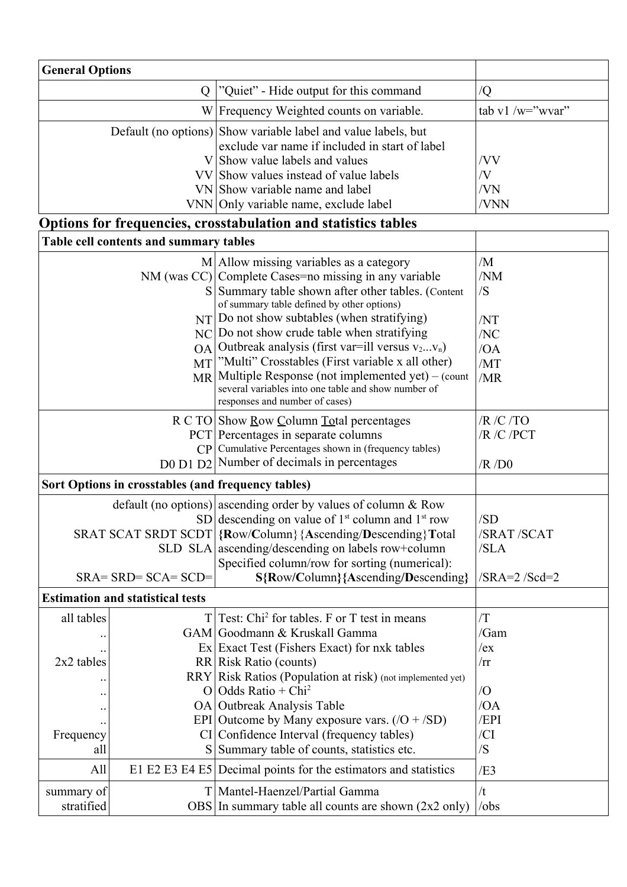| <b>General Options</b> |                                                    |                                                                                                                                                                                                                                                                                                                                                      |                                       |
|------------------------|----------------------------------------------------|------------------------------------------------------------------------------------------------------------------------------------------------------------------------------------------------------------------------------------------------------------------------------------------------------------------------------------------------------|---------------------------------------|
|                        | "Quiet" - Hide output for this command<br>Q        |                                                                                                                                                                                                                                                                                                                                                      | $\overline{Q}$                        |
|                        | W Frequency Weighted counts on variable.           |                                                                                                                                                                                                                                                                                                                                                      | tab v1 /w="wvar"                      |
|                        |                                                    | Default (no options) Show variable label and value labels, but<br>exclude var name if included in start of label<br>V Show value labels and values                                                                                                                                                                                                   | /VV                                   |
|                        |                                                    | VV Show values instead of value labels                                                                                                                                                                                                                                                                                                               | /V                                    |
|                        |                                                    | VN Show variable name and label                                                                                                                                                                                                                                                                                                                      | /VN                                   |
|                        |                                                    | VNN Only variable name, exclude label                                                                                                                                                                                                                                                                                                                | /VNN                                  |
|                        |                                                    | Options for frequencies, crosstabulation and statistics tables                                                                                                                                                                                                                                                                                       |                                       |
|                        | Table cell contents and summary tables             |                                                                                                                                                                                                                                                                                                                                                      |                                       |
|                        | S                                                  | $M$   Allow missing variables as a category<br>NM (was CC) Complete Cases=no missing in any variable<br>Summary table shown after other tables. (Content<br>of summary table defined by other options)                                                                                                                                               | /M<br>/NM<br>/S                       |
|                        | NC<br><b>OA</b><br>MT                              | $NT $ Do not show subtables (when stratifying)<br>Do not show crude table when stratifying<br>Outbreak analysis (first var=ill versus $v_2v_n$ )<br>"Multi" Crosstables (First variable x all other)<br>MR Multiple Response (not implemented yet) - (count<br>several variables into one table and show number of<br>responses and number of cases) | /NT<br>/NC<br>/OA<br>/MT<br>/MR       |
| CP                     |                                                    | R C TO Show <u>Row C</u> olumn Total percentages<br>PCT Percentages in separate columns<br>Cumulative Percentages shown in (frequency tables)<br>D0 D1 D2 Number of decimals in percentages                                                                                                                                                          | /R / C / TO<br>/R /C /PCT<br>$/R$ /D0 |
|                        | Sort Options in crosstables (and frequency tables) |                                                                                                                                                                                                                                                                                                                                                      |                                       |
|                        |                                                    | default (no options) ascending order by values of column & Row<br>SD descending on value of $1st$ column and $1st$ row<br>SRAT SCAT SRDT SCDT {Row/Column} {Ascending/Descending} Total<br>SLD SLA ascending/descending on labels row+column<br>Specified column/row for sorting (numerical):                                                        | /SD<br>/SRAT /SCAT<br>/SLA            |
|                        | $SRA = SRD = SCA = SCD =$                          | S{Row/Column}{Ascending/Descending}                                                                                                                                                                                                                                                                                                                  | $/SRA=2$ $/Scd=2$                     |
|                        | <b>Estimation and statistical tests</b>            |                                                                                                                                                                                                                                                                                                                                                      |                                       |
| all tables             | T                                                  | Test: Chi <sup>2</sup> for tables. F or T test in means<br>GAM Goodmann & Kruskall Gamma                                                                                                                                                                                                                                                             | /T<br>/Gam                            |
|                        |                                                    | Ex Exact Test (Fishers Exact) for nxk tables                                                                                                                                                                                                                                                                                                         | /ex                                   |
| 2x2 tables             |                                                    | RR Risk Ratio (counts)                                                                                                                                                                                                                                                                                                                               | $\sqrt{rr}$                           |
|                        |                                                    | RRY Risk Ratios (Population at risk) (not implemented yet)                                                                                                                                                                                                                                                                                           |                                       |
|                        | O                                                  | Odds Ratio + Chi <sup>2</sup>                                                                                                                                                                                                                                                                                                                        | $\overline{O}$<br>/OA                 |
|                        |                                                    | OA Outbreak Analysis Table<br>EPI Outcome by Many exposure vars. $(7O + 15O)$                                                                                                                                                                                                                                                                        | /EPI                                  |
| Frequency              |                                                    | CI Confidence Interval (frequency tables)                                                                                                                                                                                                                                                                                                            | /CI                                   |
| all                    |                                                    | S Summary table of counts, statistics etc.                                                                                                                                                                                                                                                                                                           | /S                                    |
| All                    |                                                    | E1 E2 E3 E4 E5 Decimal points for the estimators and statistics                                                                                                                                                                                                                                                                                      | /E3                                   |
| summary of             |                                                    | T   Mantel-Haenzel/Partial Gamma                                                                                                                                                                                                                                                                                                                     | /t                                    |
| stratified             |                                                    | $\text{OBS}$ In summary table all counts are shown (2x2 only)                                                                                                                                                                                                                                                                                        | $\prime$ obs                          |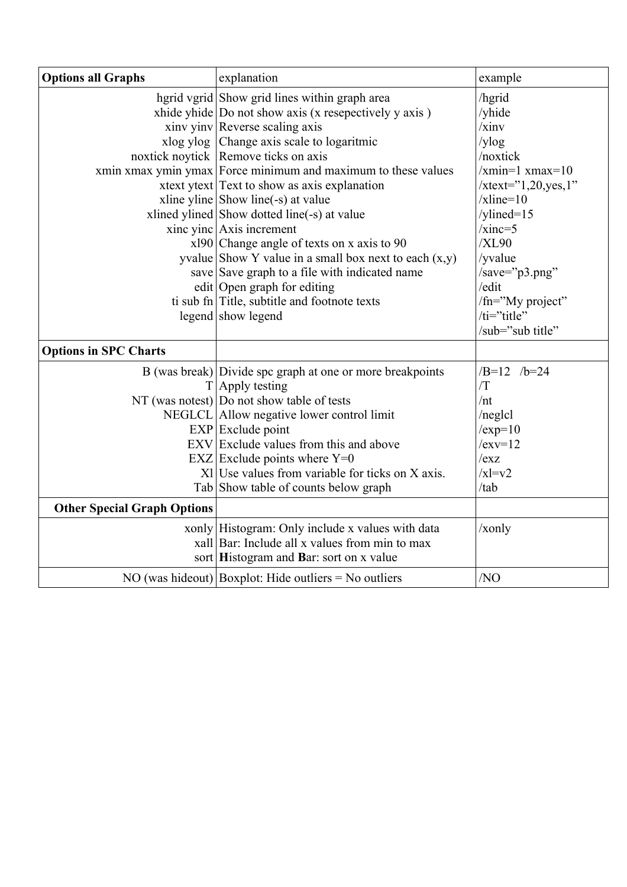| <b>Options all Graphs</b>          | explanation                                                                                                                                                                                                                                                                                                                                                                                                                                                                                                                                                                                                                                                     | example                                                                                                                                                                                                              |
|------------------------------------|-----------------------------------------------------------------------------------------------------------------------------------------------------------------------------------------------------------------------------------------------------------------------------------------------------------------------------------------------------------------------------------------------------------------------------------------------------------------------------------------------------------------------------------------------------------------------------------------------------------------------------------------------------------------|----------------------------------------------------------------------------------------------------------------------------------------------------------------------------------------------------------------------|
|                                    | hgrid vgrid Show grid lines within graph area<br>xhide yhide   Do not show axis (x resepectively y axis)<br>xinv yinv Reverse scaling axis<br>xlog ylog Change axis scale to logaritmic<br>noxtick noytick Remove ticks on axis<br>xmin xmax ymin ymax Force minimum and maximum to these values<br>xtext ytext Text to show as axis explanation<br>xline yline Show line(-s) at value<br>xlined ylined Show dotted line(-s) at value<br>xinc yinc $Axis$ increment<br>$x$ 190 Change angle of texts on x axis to 90<br>yvalue Show Y value in a small box next to each $(x,y)$<br>save Save graph to a file with indicated name<br>edit Open graph for editing | /hgrid<br>/yhide<br>$\overline{x}$ inv<br>/ylog<br>/noxtick<br>$\overline{x}$ min=1 xmax=10<br>$xtext{text}="1,20,yes,1"$<br>$xline=10$<br>/ylined= $15$<br>$/xinc=5$<br>/XL90<br>/yvalue<br>/save="p3.png"<br>/edit |
|                                    | ti sub fn Title, subtitle and footnote texts<br>legend show legend                                                                                                                                                                                                                                                                                                                                                                                                                                                                                                                                                                                              | /fn="My project"<br>/ti="title"<br>/sub="sub title"                                                                                                                                                                  |
| <b>Options in SPC Charts</b>       |                                                                                                                                                                                                                                                                                                                                                                                                                                                                                                                                                                                                                                                                 |                                                                                                                                                                                                                      |
| <b>Other Special Graph Options</b> | B (was break) Divide spc graph at one or more breakpoints<br>$T$ Apply testing<br>NT (was notest) $ $ Do not show table of tests<br>NEGLCL Allow negative lower control limit<br>$EXP$ Exclude point<br>EXV Exclude values from this and above<br>EXZ Exclude points where $Y=0$<br>$X1$ Use values from variable for ticks on X axis.<br>Tab Show table of counts below graph<br>xonly Histogram: Only include x values with data<br>xall Bar: Include all x values from min to max                                                                                                                                                                            | $/B=12$ /b=24<br>/T<br>/nt<br>$/neg$ lcl<br>$/exp=10$<br>$/exv=12$<br>/exz<br>$/x = v2$<br>/tab<br>/x only                                                                                                           |
|                                    | sort Histogram and Bar: sort on x value<br>NO (was hideout) Boxplot: Hide outliers = No outliers                                                                                                                                                                                                                                                                                                                                                                                                                                                                                                                                                                | /NO                                                                                                                                                                                                                  |